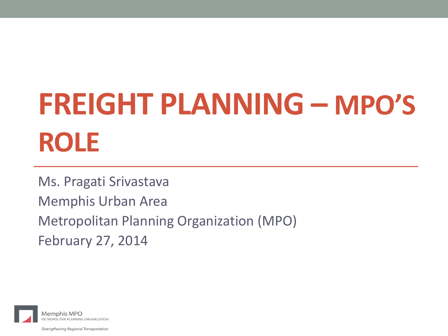# **FREIGHT PLANNING – MPO'S ROLE**

Ms. Pragati Srivastava Memphis Urban Area Metropolitan Planning Organization (MPO) February 27, 2014



Strengthening Regional Transportation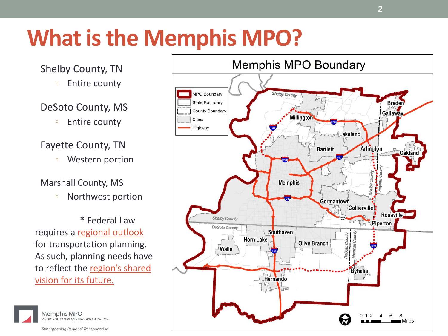## **What is the Memphis MPO?**

#### Shelby County, TN

■ Entire county

#### DeSoto County, MS

□ Entire county

#### Fayette County, TN

▫ Western portion

#### Marshall County, MS

▫ Northwest portion

**\*** Federal Law requires a regional outlook for transportation planning. As such, planning needs have to reflect the region's shared vision for its future.



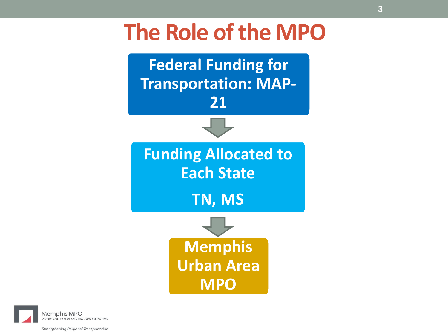### **The Role of the MPO**



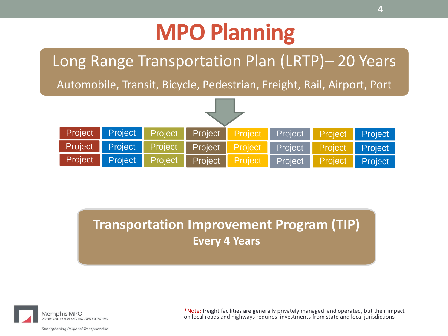## **MPO Planning**

### Long Range Transportation Plan (LRTP)– 20 Years

Automobile, Transit, Bicycle, Pedestrian, Freight, Rail, Airport, Port



**Transportation Improvement Program (TIP) Every 4 Years**



\*Note: freight facilities are generally privately managed and operated, but their impact on local roads and highways requires investments from state and local jurisdictions

Strengthening Regional Transportation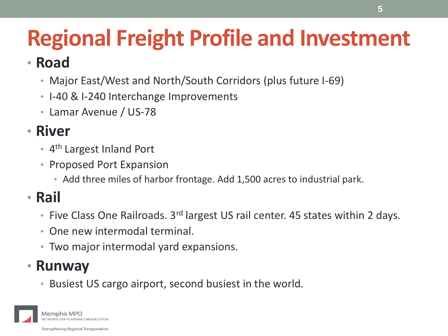## **Regional Freight Profile and Investment**

### • **Road**

- Major East/West and North/South Corridors (plus future I-69)
- I-40 & I-240 Interchange Improvements
- Lamar Avenue / US-78

### • **River**

- 4<sup>th</sup> Largest Inland Port
- Proposed Port Expansion
	- Add three miles of harbor frontage. Add 1,500 acres to industrial park.

### • **Rail**

- Five Class One Railroads. 3<sup>rd</sup> largest US rail center. 45 states within 2 days.
- One new intermodal terminal.
- Two major intermodal yard expansions.

### • **Runway**

• Busiest US cargo airport, second busiest in the world.

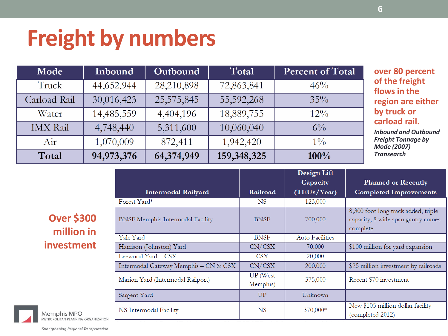## **Freight by numbers**

| Mode            | Inbound    | Outbound   | Total       | Percent of Total |
|-----------------|------------|------------|-------------|------------------|
| Truck           | 44,652,944 | 28,210,898 | 72,863,841  | 46%              |
| Carload Rail    | 30,016,423 | 25,575,845 | 55,592,268  | $35\%$           |
| Water           | 14,485,559 | 4,404,196  | 18,889,755  | $12\%$           |
| <b>IMX</b> Rail | 4,748,440  | 5,311,600  | 10,060,040  | $6\%$            |
| Air             | 1,070,009  | 872,411    | 1,942,420   | $1\%$            |
| Total           | 94,973,376 | 64,374,949 | 159,348,325 | 100%             |

**over 80 percent he freight** *<u>ks</u>* in the **rigion are either by truck or cad rail.** 

*Inbound and Outbound Freight Tonnage by Mode (2007) Transearch*

#### **Over \$300 million in investment**

Strengthening Regional Transportation

| <b>Intermodal Railyard</b>            | Railroad                    | Design Lift<br>Capacity<br>(TEUs/Year) | <b>Planned or Recently</b><br><b>Completed Improvements</b>                            |
|---------------------------------------|-----------------------------|----------------------------------------|----------------------------------------------------------------------------------------|
| Forest Yard*                          | NS                          | 123,000                                |                                                                                        |
| BNSF Memphis Intermodal Facility      | <b>BNSF</b>                 | 700,000                                | 8,300 foot long track added, triple<br>capacity, 8 wide span gantry cranes<br>complete |
| Yale Yard                             | <b>BNSF</b>                 | <b>Auto Facilities</b>                 |                                                                                        |
| Harrison (Johnston) Yard              | CN/CSX                      | 70,000                                 | \$100 million for yard expansion                                                       |
| Leewood Yard – CSX                    | CSX                         | 20,000                                 |                                                                                        |
| Intermodal Gateway Memphis - CN & CSX | CN/CSX                      | 200,000                                | \$25 million investment by railroads                                                   |
| Marion Yard (Intermodal Railport)     | <b>UP</b> (West<br>Memphis) | 375,000                                | Recent \$70 investment                                                                 |
| Sargent Yard                          | UP                          | Unknown                                |                                                                                        |
| NS Intermodal Facility                | <b>NS</b>                   | 370,000*                               | New \$105 million dollar facility<br>(completed 2012)                                  |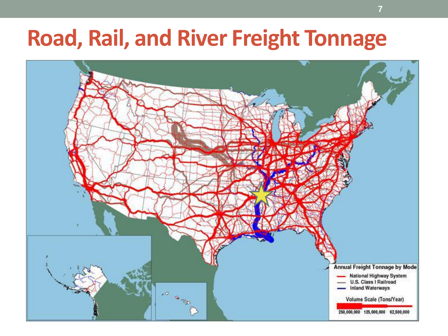## **Road, Rail, and River Freight Tonnage**

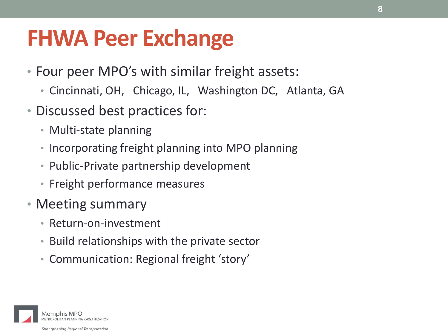## **FHWA Peer Exchange**

- Four peer MPO's with similar freight assets:
	- Cincinnati, OH, Chicago, IL, Washington DC, Atlanta, GA
- Discussed best practices for:
	- Multi-state planning
	- Incorporating freight planning into MPO planning
	- Public-Private partnership development
	- Freight performance measures
- Meeting summary
	- Return-on-investment
	- Build relationships with the private sector
	- Communication: Regional freight 'story'

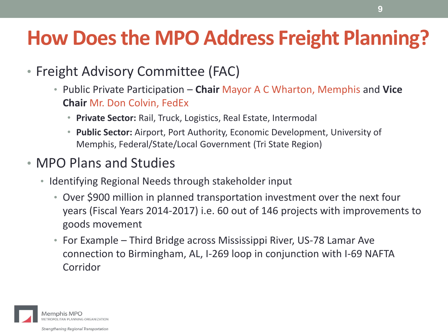### **How Does the MPO Address Freight Planning?**

- Freight Advisory Committee (FAC)
	- Public Private Participation **Chair** Mayor A C Wharton, Memphis and **Vice Chair** Mr. Don Colvin, FedEx
		- **Private Sector:** Rail, Truck, Logistics, Real Estate, Intermodal
		- **Public Sector:** Airport, Port Authority, Economic Development, University of Memphis, Federal/State/Local Government (Tri State Region)
- MPO Plans and Studies
	- Identifying Regional Needs through stakeholder input
		- Over \$900 million in planned transportation investment over the next four years (Fiscal Years 2014-2017) i.e. 60 out of 146 projects with improvements to goods movement
		- For Example Third Bridge across Mississippi River, US-78 Lamar Ave connection to Birmingham, AL, I-269 loop in conjunction with I-69 NAFTA Corridor

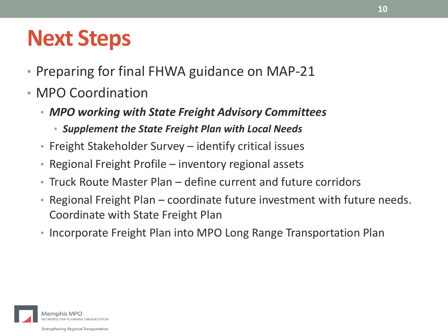## **Next Steps**

- Preparing for final FHWA guidance on MAP-21
- MPO Coordination
	- *MPO working with State Freight Advisory Committees*
		- *Supplement the State Freight Plan with Local Needs*
	- Freight Stakeholder Survey identify critical issues
	- Regional Freight Profile inventory regional assets
	- Truck Route Master Plan define current and future corridors
	- Regional Freight Plan coordinate future investment with future needs. Coordinate with State Freight Plan
	- Incorporate Freight Plan into MPO Long Range Transportation Plan

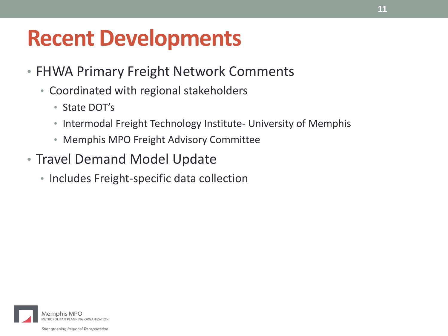## **Recent Developments**

- FHWA Primary Freight Network Comments
	- Coordinated with regional stakeholders
		- State DOT's
		- Intermodal Freight Technology Institute- University of Memphis
		- Memphis MPO Freight Advisory Committee
- Travel Demand Model Update
	- Includes Freight-specific data collection